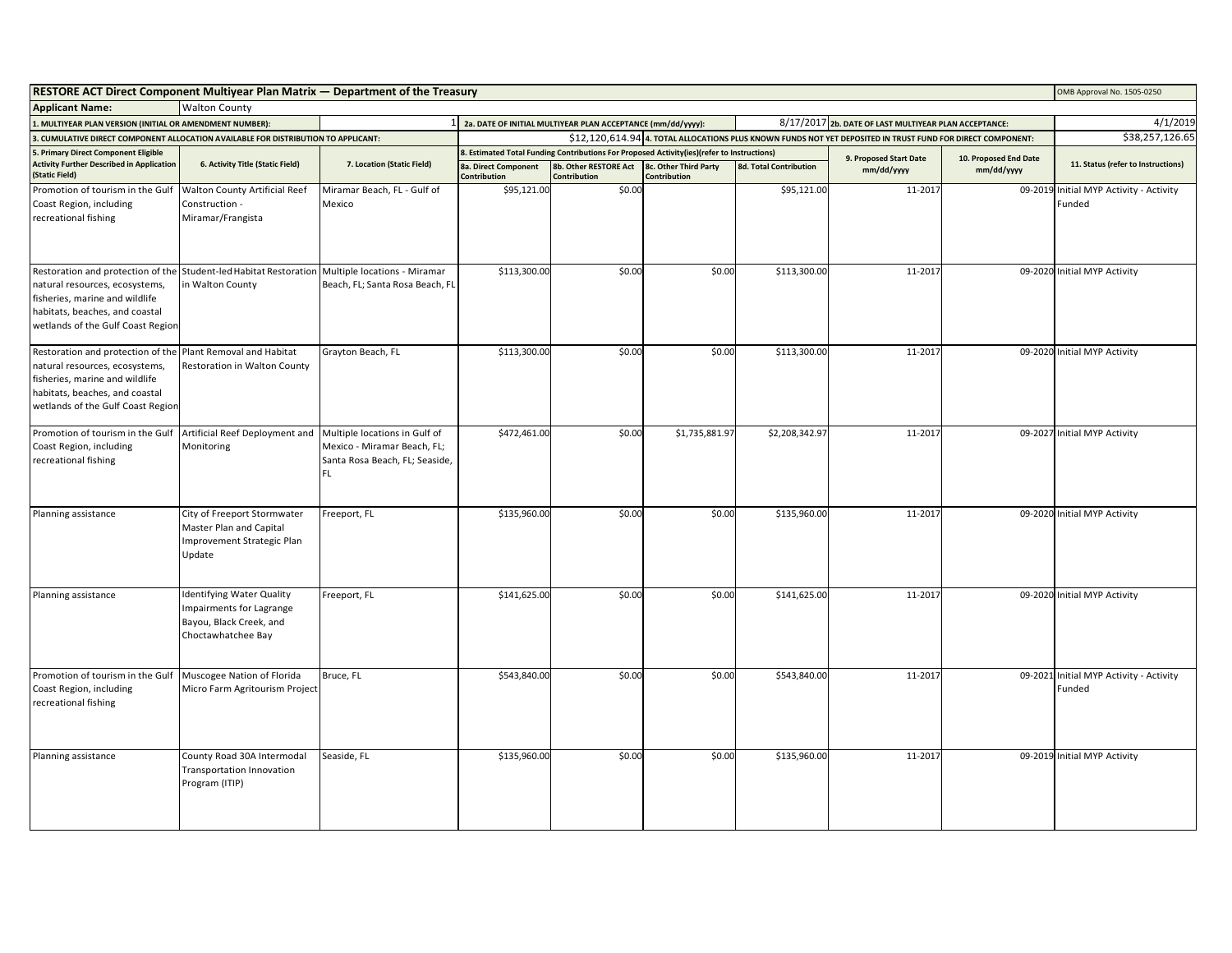| <b>RESTORE ACT Direct Component Multiyear Plan Matrix - Department of the Treasury</b>                                                                                       |                                                                                                               |                                                                                                       |                                                                                                             |                                                             |                                                                                            |                               | OMB Approval No. 1505-0250 |                       |                                                   |
|------------------------------------------------------------------------------------------------------------------------------------------------------------------------------|---------------------------------------------------------------------------------------------------------------|-------------------------------------------------------------------------------------------------------|-------------------------------------------------------------------------------------------------------------|-------------------------------------------------------------|--------------------------------------------------------------------------------------------|-------------------------------|----------------------------|-----------------------|---------------------------------------------------|
| <b>Applicant Name:</b><br><b>Walton County</b>                                                                                                                               |                                                                                                               |                                                                                                       |                                                                                                             |                                                             |                                                                                            |                               |                            |                       |                                                   |
| 1. MULTIYEAR PLAN VERSION (INITIAL OR AMENDMENT NUMBER):                                                                                                                     | 1 2a. DATE OF INITIAL MULTIYEAR PLAN ACCEPTANCE (mm/dd/yyyy):                                                 | 8/17/2017 2b. DATE OF LAST MULTIYEAR PLAN ACCEPTANCE:                                                 | 4/1/2019                                                                                                    |                                                             |                                                                                            |                               |                            |                       |                                                   |
| 3. CUMULATIVE DIRECT COMPONENT ALLOCATION AVAILABLE FOR DISTRIBUTION TO APPLICANT:                                                                                           |                                                                                                               |                                                                                                       | \$12,120,614.94 4. TOTAL ALLOCATIONS PLUS KNOWN FUNDS NOT YET DEPOSITED IN TRUST FUND FOR DIRECT COMPONENT: |                                                             |                                                                                            |                               |                            |                       | \$38,257,126.65                                   |
| 5. Primary Direct Component Eligible                                                                                                                                         |                                                                                                               |                                                                                                       |                                                                                                             |                                                             | 8. Estimated Total Funding Contributions For Proposed Activity(ies)(refer to Instructions) |                               | 9. Proposed Start Date     | 10. Proposed End Date |                                                   |
| <b>Activity Further Described in Application</b><br>(Static Field)                                                                                                           | 6. Activity Title (Static Field)                                                                              | 7. Location (Static Field)                                                                            | 8a. Direct Component<br>Contribution                                                                        | 8b. Other RESTORE Act 8c. Other Third Party<br>Contribution | Contribution                                                                               | <b>8d. Total Contribution</b> | mm/dd/yyyy                 | mm/dd/yyyy            | 11. Status (refer to Instructions)                |
| Promotion of tourism in the Gulf<br>Coast Region, including<br>recreational fishing                                                                                          | Walton County Artificial Reef<br>Construction -<br>Miramar/Frangista                                          | Miramar Beach, FL - Gulf of<br>Mexico                                                                 | \$95,121.00                                                                                                 | \$0.00                                                      |                                                                                            | \$95,121.00                   | 11-2017                    |                       | 09-2019 Initial MYP Activity - Activity<br>Funded |
| Restoration and protection of the<br>natural resources, ecosystems,<br>fisheries, marine and wildlife<br>habitats, beaches, and coastal<br>wetlands of the Gulf Coast Region | Student-led Habitat Restoration Multiple locations - Miramar<br>in Walton County                              | Beach, FL; Santa Rosa Beach, FL                                                                       | \$113,300.00                                                                                                | \$0.00                                                      | \$0.00                                                                                     | \$113,300.00                  | 11-2017                    |                       | 09-2020 Initial MYP Activity                      |
| Restoration and protection of the<br>natural resources, ecosystems,<br>fisheries, marine and wildlife<br>habitats, beaches, and coastal<br>wetlands of the Gulf Coast Region | Plant Removal and Habitat<br>Restoration in Walton County                                                     | Grayton Beach, FL                                                                                     | \$113,300.00                                                                                                | \$0.00                                                      | \$0.00                                                                                     | \$113,300.00                  | 11-2017                    |                       | 09-2020 Initial MYP Activity                      |
| Promotion of tourism in the Gulf<br>Coast Region, including<br>recreational fishing                                                                                          | Artificial Reef Deployment and<br>Monitoring                                                                  | Multiple locations in Gulf of<br>Mexico - Miramar Beach, FL;<br>Santa Rosa Beach, FL; Seaside,<br>FL. | \$472,461.00                                                                                                | \$0.00                                                      | \$1,735,881.97                                                                             | \$2,208,342.97                | 11-2017                    |                       | 09-2027 Initial MYP Activity                      |
| Planning assistance                                                                                                                                                          | City of Freeport Stormwater<br>Master Plan and Capital<br>Improvement Strategic Plan<br>Update                | Freeport, FL                                                                                          | \$135,960.00                                                                                                | \$0.00                                                      | \$0.00                                                                                     | \$135,960.00                  | 11-2017                    |                       | 09-2020 Initial MYP Activity                      |
| Planning assistance                                                                                                                                                          | <b>Identifying Water Quality</b><br>Impairments for Lagrange<br>Bayou, Black Creek, and<br>Choctawhatchee Bay | Freeport, FL                                                                                          | \$141,625.00                                                                                                | \$0.00                                                      | \$0.00                                                                                     | \$141,625.00                  | 11-2017                    |                       | 09-2020 Initial MYP Activity                      |
| Promotion of tourism in the Gulf<br>Coast Region, including<br>recreational fishing                                                                                          | Muscogee Nation of Florida<br>Micro Farm Agritourism Project                                                  | Bruce, FL                                                                                             | \$543,840.00                                                                                                | \$0.00                                                      | \$0.00                                                                                     | \$543,840.00                  | 11-2017                    |                       | 09-2021 Initial MYP Activity - Activity<br>Funded |
| Planning assistance                                                                                                                                                          | County Road 30A Intermodal<br><b>Transportation Innovation</b><br>Program (ITIP)                              | Seaside, FL                                                                                           | \$135,960.00                                                                                                | \$0.00                                                      | \$0.00                                                                                     | \$135,960.00                  | 11-2017                    |                       | 09-2019 Initial MYP Activity                      |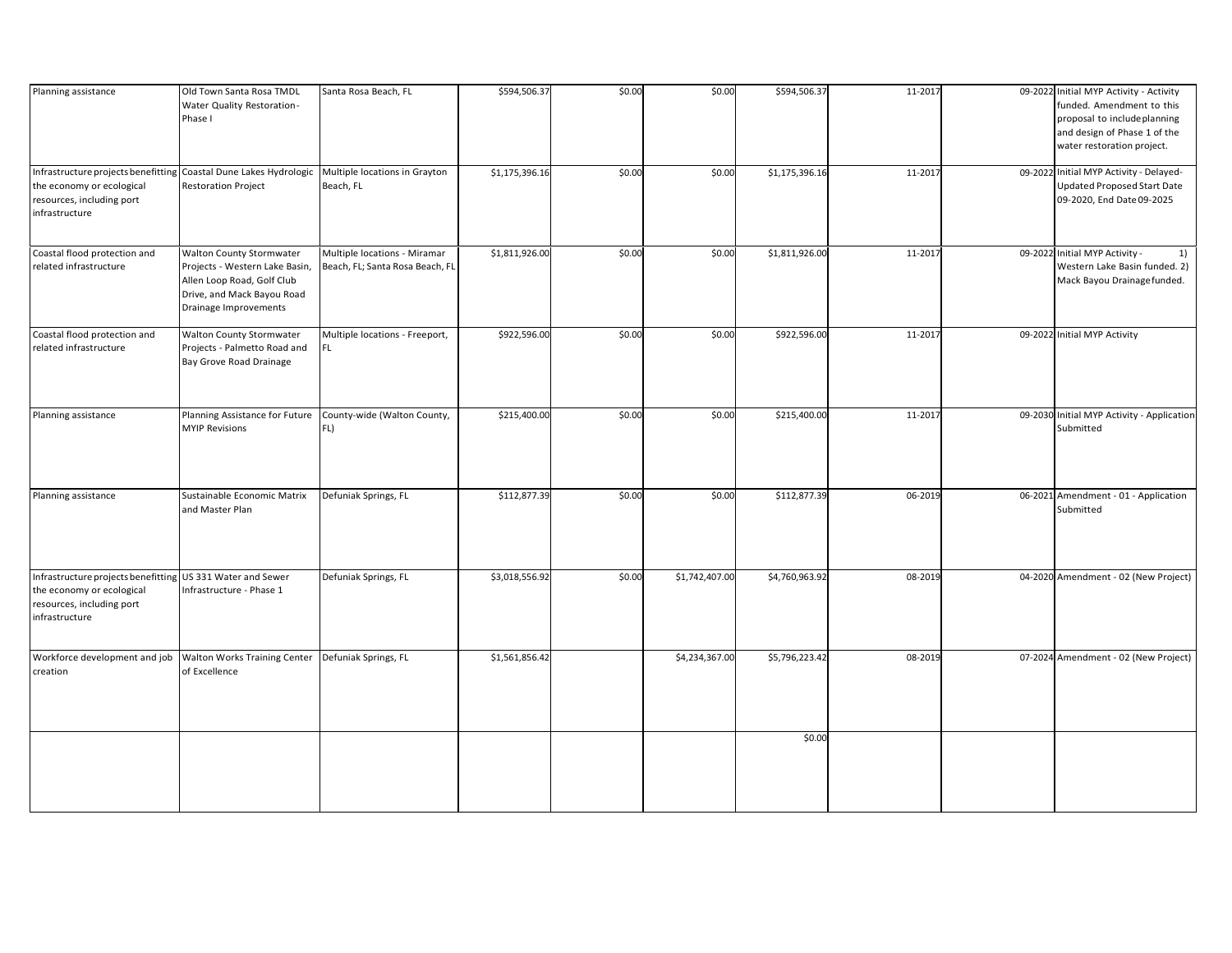| Planning assistance                                                                                                                           | Old Town Santa Rosa TMDL<br>Water Quality Restoration-<br>Phase I                                                                               | Santa Rosa Beach, FL                                            | \$594,506.37   | \$0.00 | \$0.00         | \$594,506.37   | 11-2017 | 09-2022 Initial MYP Activity - Activity<br>funded. Amendment to this<br>proposal to include planning<br>and design of Phase 1 of the<br>water restoration project. |
|-----------------------------------------------------------------------------------------------------------------------------------------------|-------------------------------------------------------------------------------------------------------------------------------------------------|-----------------------------------------------------------------|----------------|--------|----------------|----------------|---------|--------------------------------------------------------------------------------------------------------------------------------------------------------------------|
| Infrastructure projects benefitting Coastal Dune Lakes Hydrologic<br>the economy or ecological<br>resources, including port<br>infrastructure | <b>Restoration Project</b>                                                                                                                      | Multiple locations in Grayton<br>Beach, FL                      | \$1,175,396.16 | \$0.00 | \$0.00         | \$1,175,396.16 | 11-2017 | 09-2022 Initial MYP Activity - Delayed-<br><b>Updated Proposed Start Date</b><br>09-2020, End Date 09-2025                                                         |
| Coastal flood protection and<br>related infrastructure                                                                                        | Walton County Stormwater<br>Projects - Western Lake Basin,<br>Allen Loop Road, Golf Club<br>Drive, and Mack Bayou Road<br>Drainage Improvements | Multiple locations - Miramar<br>Beach, FL; Santa Rosa Beach, FL | \$1,811,926.00 | \$0.00 | \$0.00         | \$1,811,926.00 | 11-2017 | 09-2022 Initial MYP Activity -<br>1)<br>Western Lake Basin funded. 2)<br>Mack Bayou Drainage funded.                                                               |
| Coastal flood protection and<br>related infrastructure                                                                                        | Walton County Stormwater<br>Projects - Palmetto Road and<br>Bay Grove Road Drainage                                                             | Multiple locations - Freeport,<br>FL.                           | \$922,596.00   | \$0.00 | \$0.00         | \$922,596.00   | 11-2017 | 09-2022 Initial MYP Activity                                                                                                                                       |
| Planning assistance                                                                                                                           | Planning Assistance for Future<br><b>MYIP Revisions</b>                                                                                         | County-wide (Walton County,<br>FL)                              | \$215,400.00   | \$0.00 | \$0.00         | \$215,400.00   | 11-2017 | 09-2030 Initial MYP Activity - Application<br>Submitted                                                                                                            |
| Planning assistance                                                                                                                           | Sustainable Economic Matrix<br>and Master Plan                                                                                                  | Defuniak Springs, FL                                            | \$112,877.39   | \$0.00 | \$0.00         | \$112,877.39   | 06-2019 | 06-2021 Amendment - 01 - Application<br>Submitted                                                                                                                  |
| Infrastructure projects benefitting US 331 Water and Sewer<br>the economy or ecological<br>resources, including port<br>infrastructure        | Infrastructure - Phase 1                                                                                                                        | Defuniak Springs, FL                                            | \$3,018,556.92 | \$0.00 | \$1,742,407.00 | \$4,760,963.92 | 08-2019 | 04-2020 Amendment - 02 (New Project)                                                                                                                               |
| Workforce development and job<br>creation                                                                                                     | Walton Works Training Center<br>of Excellence                                                                                                   | Defuniak Springs, FL                                            | \$1,561,856.42 |        | \$4,234,367.00 | \$5,796,223.42 | 08-2019 | 07-2024 Amendment - 02 (New Project)                                                                                                                               |
|                                                                                                                                               |                                                                                                                                                 |                                                                 |                |        |                | \$0.00         |         |                                                                                                                                                                    |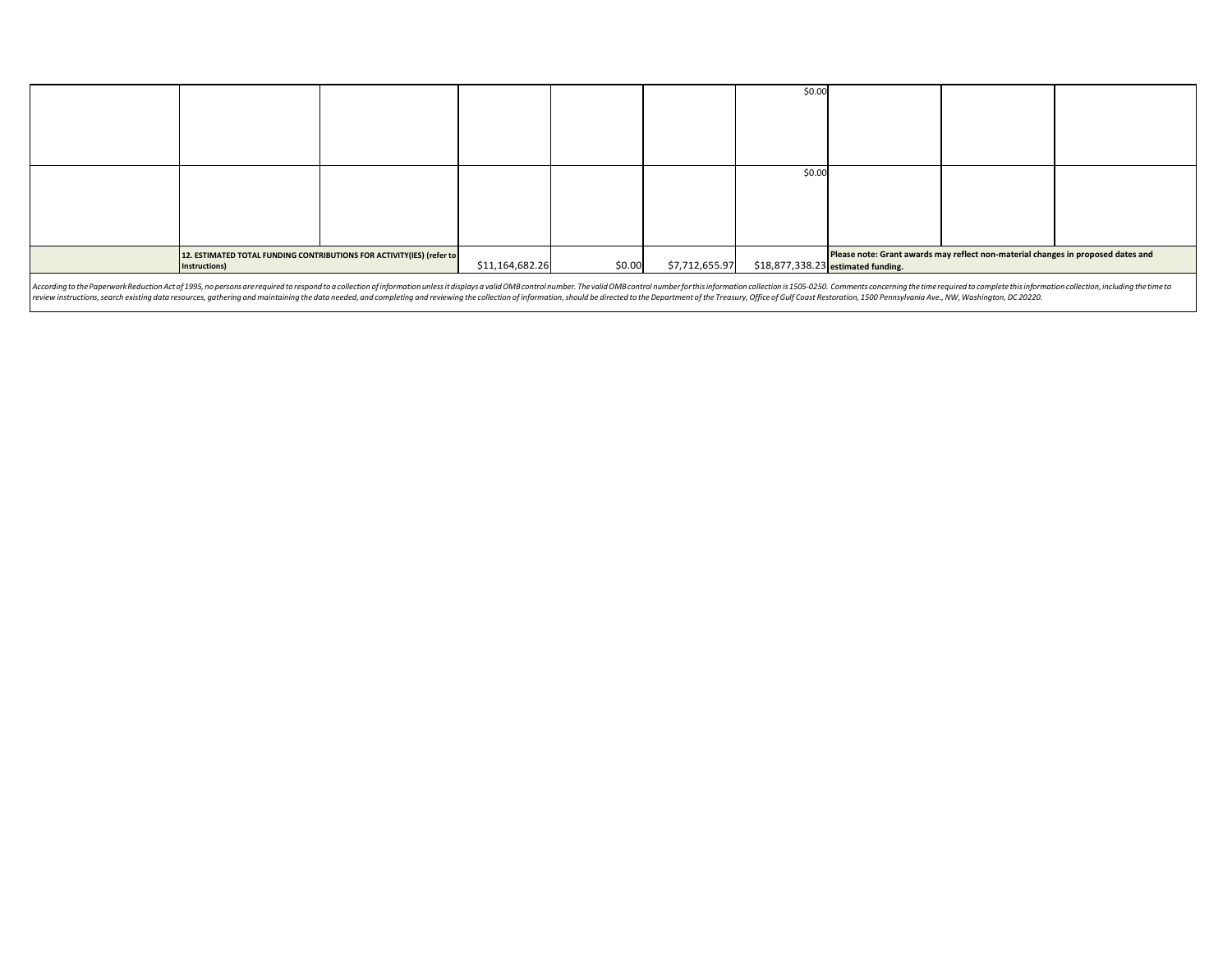|                                                                                                                                                                                                                                |                                                                                        |  |                 |        |                | \$0.00                             |                                                                                  |  |  |
|--------------------------------------------------------------------------------------------------------------------------------------------------------------------------------------------------------------------------------|----------------------------------------------------------------------------------------|--|-----------------|--------|----------------|------------------------------------|----------------------------------------------------------------------------------|--|--|
|                                                                                                                                                                                                                                |                                                                                        |  |                 |        |                | \$0.00                             |                                                                                  |  |  |
|                                                                                                                                                                                                                                | 12. ESTIMATED TOTAL FUNDING CONTRIBUTIONS FOR ACTIVITY(IES) (refer to<br>Instructions) |  | \$11,164,682.26 | \$0.00 | \$7,712,655.97 | \$18,877,338.23 estimated funding. | Please note: Grant awards may reflect non-material changes in proposed dates and |  |  |
| According to the Paperwork Reduction Actof 1995, no persons are required to respond to a collection of information unless it displays a valid OMB control number. The valid OMB control number for this information collection |                                                                                        |  |                 |        |                |                                    |                                                                                  |  |  |

According to the Paperwork Reduction Act of 1995, no persons are required to respond to a collection of information unless it displays a valid OMB control number. The valid OMB control number for mis information collection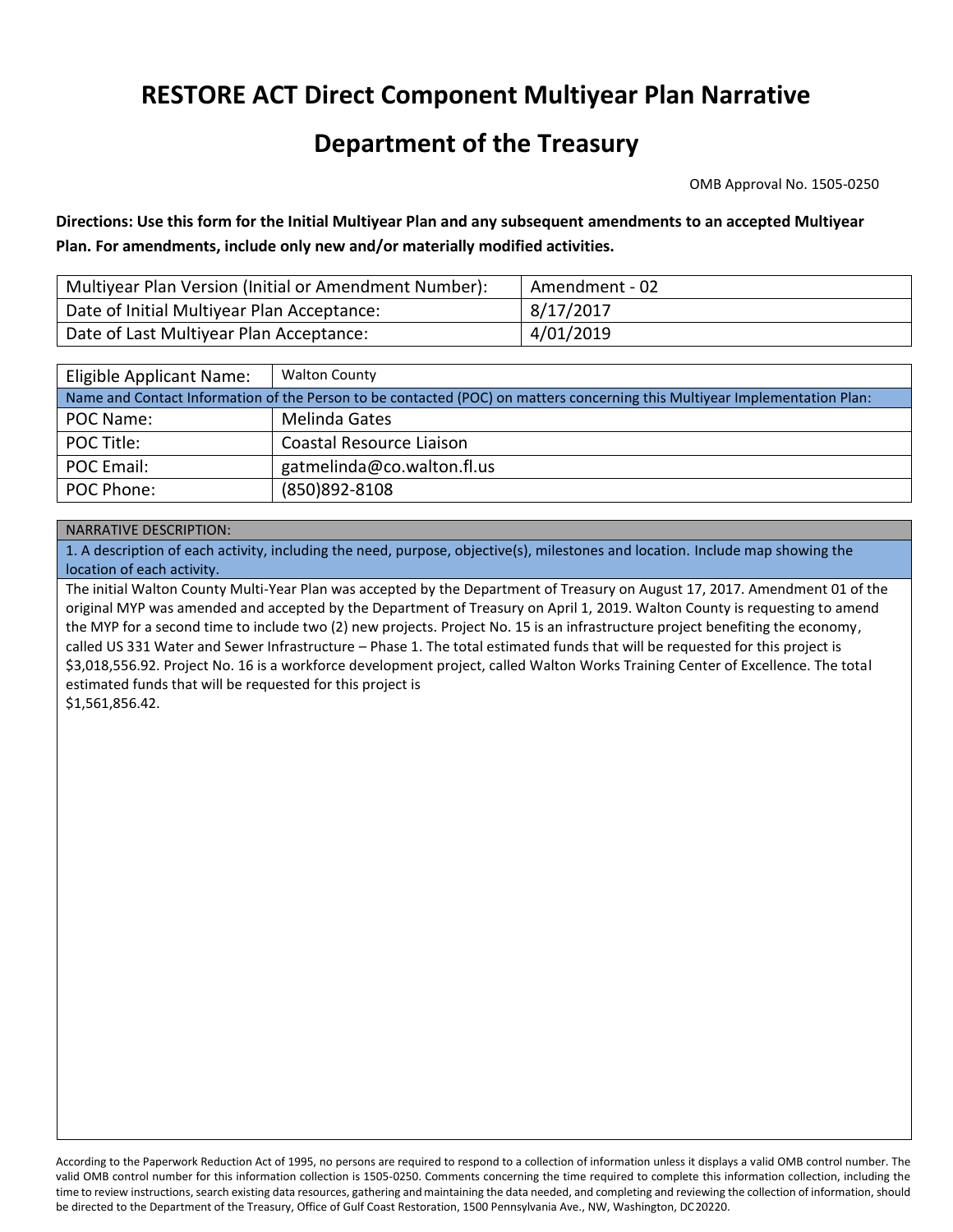## **RESTORE ACT Direct Component Multiyear Plan Narrative**

### **Department of the Treasury**

OMB Approval No. 1505-0250

 **Plan. For amendments, include only new and/or materially modified activities. Directions: Use this form for the Initial Multiyear Plan and any subsequent amendments to an accepted Multiyear** 

| Multiyear Plan Version (Initial or Amendment Number): | Amendment - 02 |
|-------------------------------------------------------|----------------|
| Date of Initial Multiyear Plan Acceptance:            | 8/17/2017      |
| Date of Last Multiyear Plan Acceptance:               | 4/01/2019      |

| Eligible Applicant Name:                                                                                                   | <b>Walton County</b>       |  |  |  |  |
|----------------------------------------------------------------------------------------------------------------------------|----------------------------|--|--|--|--|
| Name and Contact Information of the Person to be contacted (POC) on matters concerning this Multiyear Implementation Plan: |                            |  |  |  |  |
| POC Name:                                                                                                                  | Melinda Gates              |  |  |  |  |
| POC Title:                                                                                                                 | Coastal Resource Liaison   |  |  |  |  |
| POC Email:                                                                                                                 | gatmelinda@co.walton.fl.us |  |  |  |  |
| POC Phone:                                                                                                                 | (850) 892-8108             |  |  |  |  |

#### NARRATIVE DESCRIPTION:

1. A description of each activity, including the need, purpose, objective(s), milestones and location. Include map showing the location of each activity.

The initial Walton County Multi-Year Plan was accepted by the Department of Treasury on August 17, 2017. Amendment 01 of the original MYP was amended and accepted by the Department of Treasury on April 1, 2019. Walton County is requesting to amend the MYP for a second time to include two (2) new projects. Project No. 15 is an infrastructure project benefiting the economy, called US 331 Water and Sewer Infrastructure – Phase 1. The total estimated funds that will be requested for this project is \$3,018,556.92. Project No. 16 is a workforce development project, called Walton Works Training Center of Excellence. The total estimated funds that will be requested for this project is \$1,561,856.42.

 According to the Paperwork Reduction Act of 1995, no persons are required to respond to a collection of information unless it displays a valid OMB control number. The valid OMB control number for this information collection is 1505-0250. Comments concerning the time required to complete this information collection, including the be directed to the Department of the Treasury, Office of Gulf Coast Restoration, 1500 Pennsylvania Ave., NW, Washington, DC 20220. time to review instructions, search existing data resources, gathering and maintaining the data needed, and completing and reviewing the collection of information, should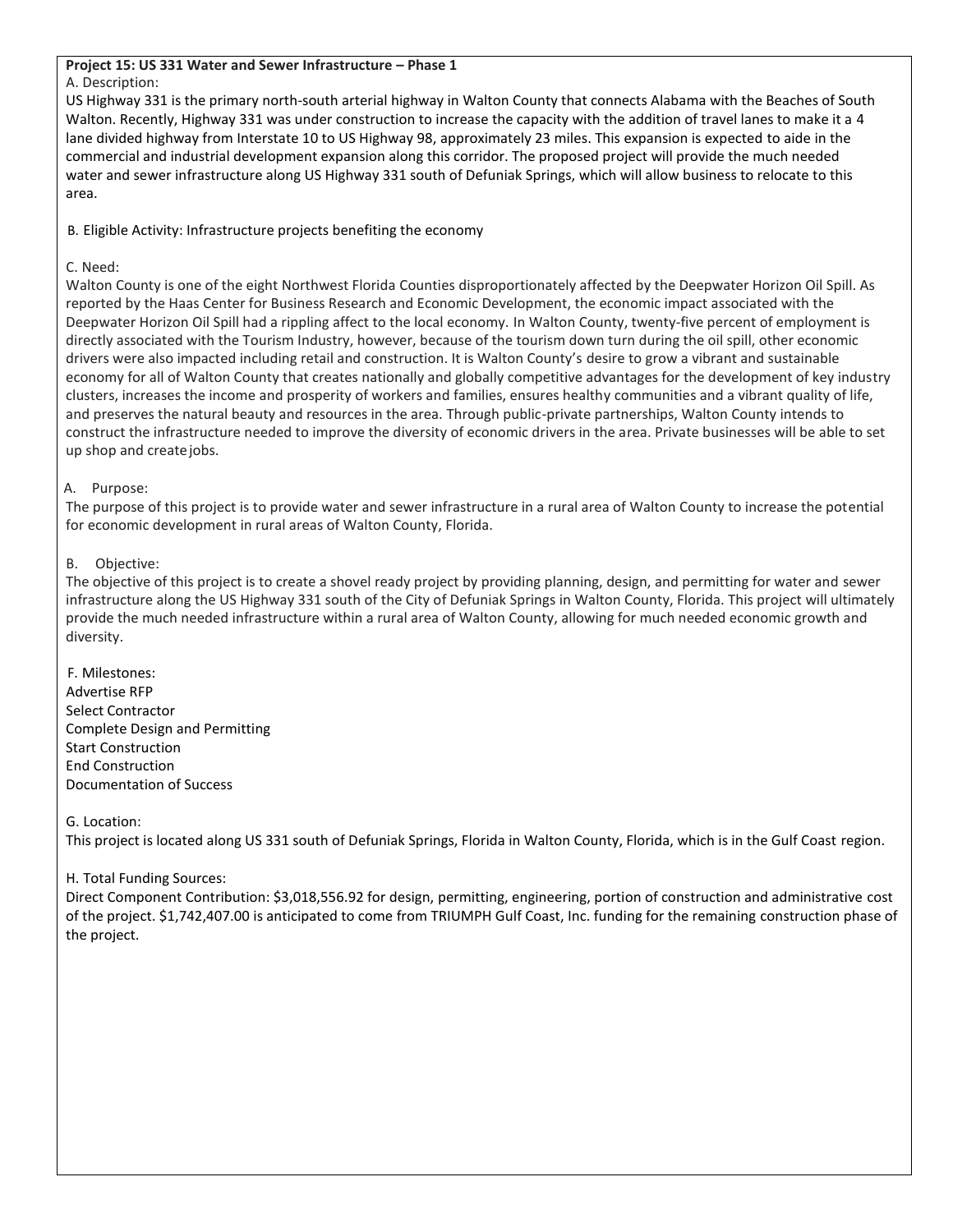### **Project 15: US 331 Water and Sewer Infrastructure – Phase 1**

#### A. Description:

 lane divided highway from Interstate 10 to US Highway 98, approximately 23 miles. This expansion is expected to aide in the US Highway 331 is the primary north-south arterial highway in Walton County that connects Alabama with the Beaches of South Walton. Recently, Highway 331 was under construction to increase the capacity with the addition of travel lanes to make it a 4 commercial and industrial development expansion along this corridor. The proposed project will provide the much needed water and sewer infrastructure along US Highway 331 south of Defuniak Springs, which will allow business to relocate to this area.

B. Eligible Activity: Infrastructure projects benefiting the economy

#### C. Need:

Walton County is one of the eight Northwest Florida Counties disproportionately affected by the Deepwater Horizon Oil Spill. As reported by the Haas Center for Business Research and Economic Development, the economic impact associated with the Deepwater Horizon Oil Spill had a rippling affect to the local economy. In Walton County, twenty-five percent of employment is directly associated with the Tourism Industry, however, because of the tourism down turn during the oil spill, other economic drivers were also impacted including retail and construction. It is Walton County's desire to grow a vibrant and sustainable economy for all of Walton County that creates nationally and globally competitive advantages for the development of key industry clusters, increases the income and prosperity of workers and families, ensures healthy communities and a vibrant quality of life, and preserves the natural beauty and resources in the area. Through public-private partnerships, Walton County intends to construct the infrastructure needed to improve the diversity of economic drivers in the area. Private businesses will be able to set up shop and createjobs.

#### A. Purpose:

The purpose of this project is to provide water and sewer infrastructure in a rural area of Walton County to increase the potential for economic development in rural areas of Walton County, Florida.

#### B. Objective:

The objective of this project is to create a shovel ready project by providing planning, design, and permitting for water and sewer infrastructure along the US Highway 331 south of the City of Defuniak Springs in Walton County, Florida. This project will ultimately provide the much needed infrastructure within a rural area of Walton County, allowing for much needed economic growth and diversity.

F. Milestones: Advertise RFP Select Contractor Complete Design and Permitting Start Construction End Construction Documentation of Success

G. Location:

This project is located along US 331 south of Defuniak Springs, Florida in Walton County, Florida, which is in the Gulf Coast region.

#### H. Total Funding Sources:

 of the project. \$1,742,407.00 is anticipated to come from TRIUMPH Gulf Coast, Inc. funding for the remaining construction phase of Direct Component Contribution: \$3,018,556.92 for design, permitting, engineering, portion of construction and administrative cost the project.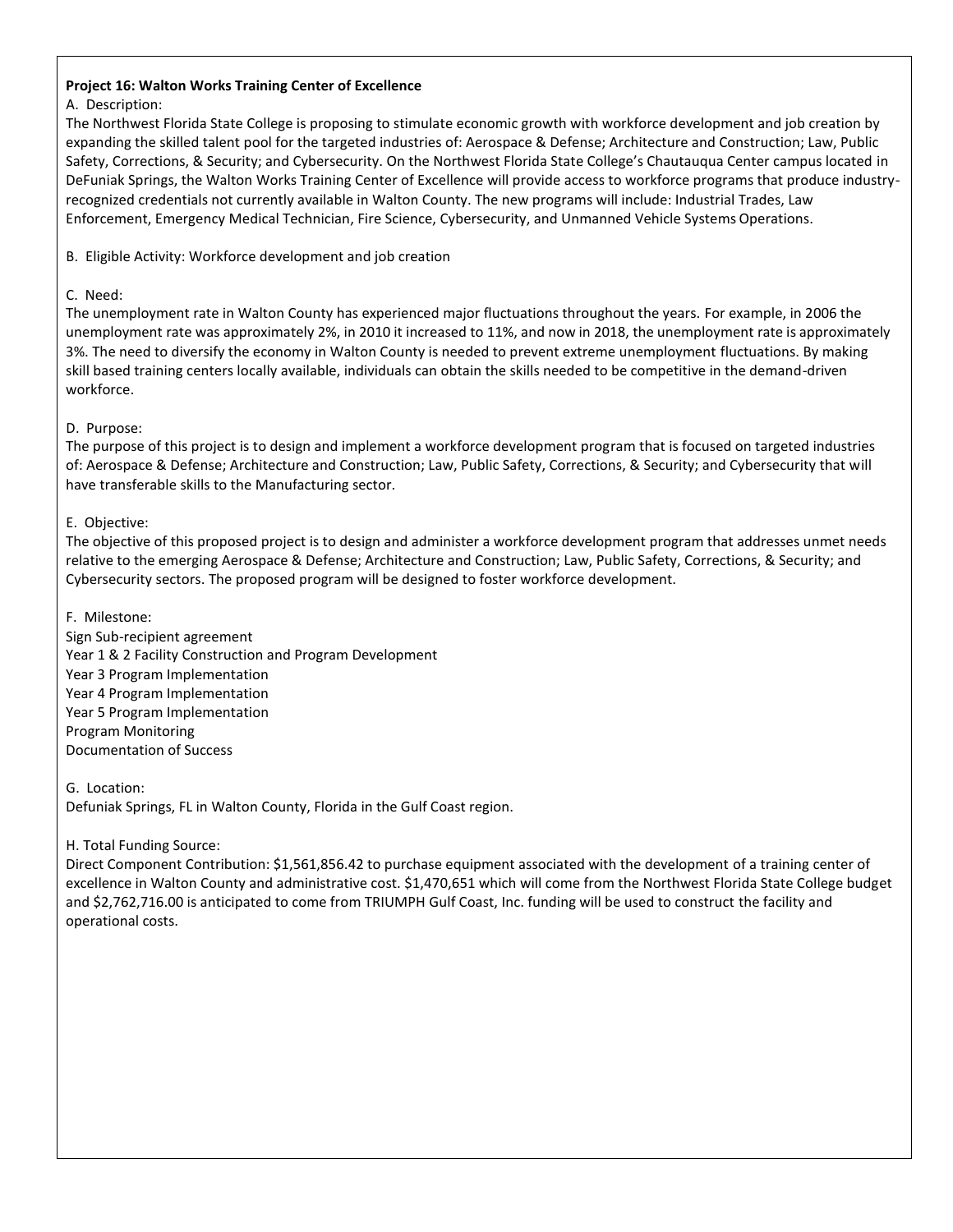#### **Project 16: Walton Works Training Center of Excellence**

#### A. Description:

The Northwest Florida State College is proposing to stimulate economic growth with workforce development and job creation by expanding the skilled talent pool for the targeted industries of: Aerospace & Defense; Architecture and Construction; Law, Public Safety, Corrections, & Security; and Cybersecurity. On the Northwest Florida State College's Chautauqua Center campus located in DeFuniak Springs, the Walton Works Training Center of Excellence will provide access to workforce programs that produce industryrecognized credentials not currently available in Walton County. The new programs will include: Industrial Trades, Law Enforcement, Emergency Medical Technician, Fire Science, Cybersecurity, and Unmanned Vehicle Systems Operations.

B. Eligible Activity: Workforce development and job creation

#### C. Need:

The unemployment rate in Walton County has experienced major fluctuations throughout the years. For example, in 2006 the unemployment rate was approximately 2%, in 2010 it increased to 11%, and now in 2018, the unemployment rate is approximately 3%. The need to diversify the economy in Walton County is needed to prevent extreme unemployment fluctuations. By making skill based training centers locally available, individuals can obtain the skills needed to be competitive in the demand-driven workforce.

#### D. Purpose:

 The purpose of this project is to design and implement a workforce development program that is focused on targeted industries have transferable skills to the Manufacturing sector. of: Aerospace & Defense; Architecture and Construction; Law, Public Safety, Corrections, & Security; and Cybersecurity that will

#### E. Objective:

The objective of this proposed project is to design and administer a workforce development program that addresses unmet needs relative to the emerging Aerospace & Defense; Architecture and Construction; Law, Public Safety, Corrections, & Security; and Cybersecurity sectors. The proposed program will be designed to foster workforce development.

#### F. Milestone:

Sign Sub-recipient agreement Year 1 & 2 Facility Construction and Program Development Year 3 Program Implementation Year 4 Program Implementation Year 5 Program Implementation Program Monitoring Documentation of Success

G. Location:

Defuniak Springs, FL in Walton County, Florida in the Gulf Coast region.

#### H. Total Funding Source:

 and \$2,762,716.00 is anticipated to come from TRIUMPH Gulf Coast, Inc. funding will be used to construct the facility and Direct Component Contribution: \$1,561,856.42 to purchase equipment associated with the development of a training center of excellence in Walton County and administrative cost. \$1,470,651 which will come from the Northwest Florida State College budget operational costs.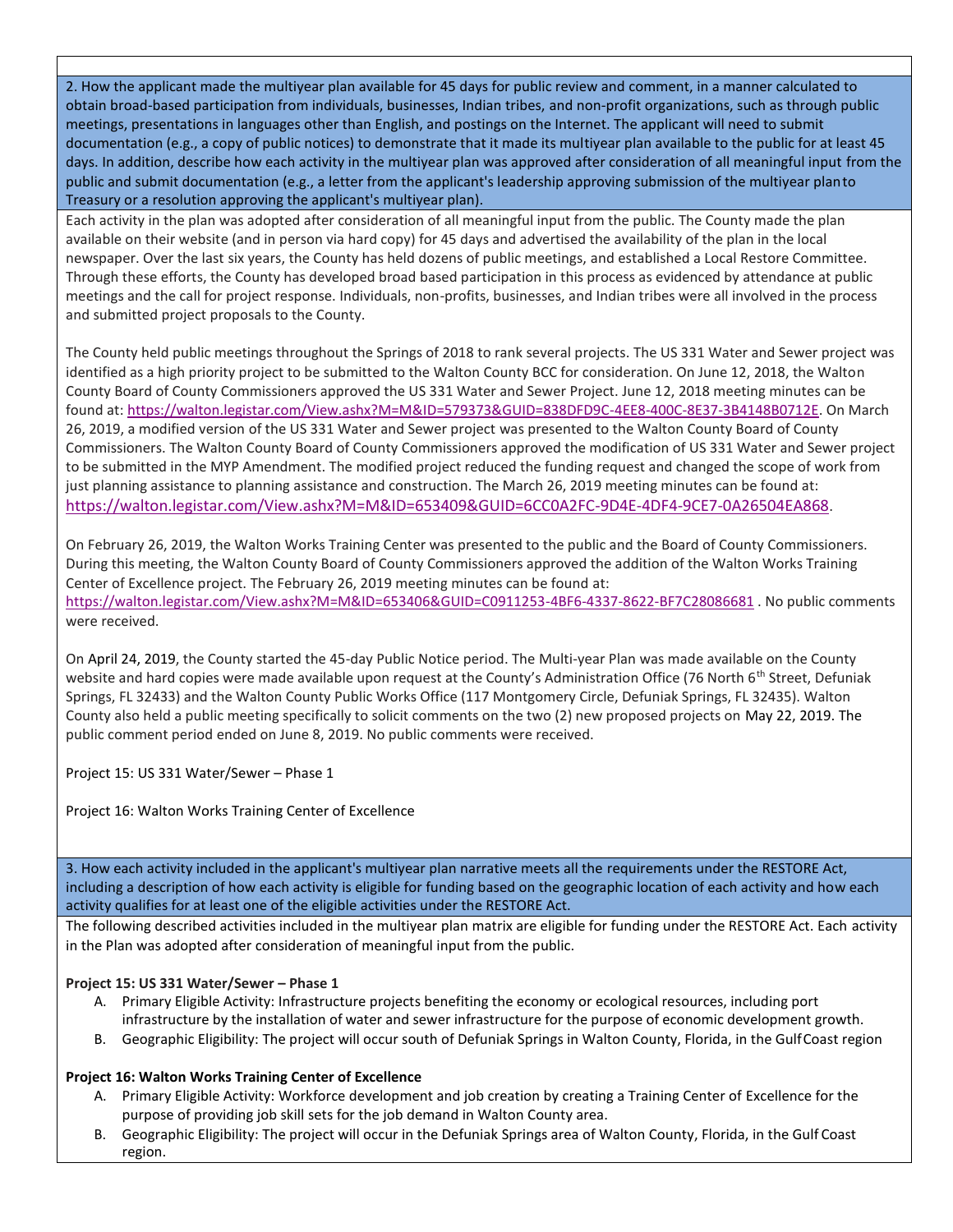2. How the applicant made the multiyear plan available for 45 days for public review and comment, in a manner calculated to obtain broad-based participation from individuals, businesses, Indian tribes, and non-profit organizations, such as through public meetings, presentations in languages other than English, and postings on the Internet. The applicant will need to submit documentation (e.g., a copy of public notices) to demonstrate that it made its multiyear plan available to the public for at least 45 days. In addition, describe how each activity in the multiyear plan was approved after consideration of all meaningful input from the public and submit documentation (e.g., a letter from the applicant's leadership approving submission of the multiyear plan to Treasury or a resolution approving the applicant's multiyear plan).

Each activity in the plan was adopted after consideration of all meaningful input from the public. The County made the plan available on their website (and in person via hard copy) for 45 days and advertised the availability of the plan in the local newspaper. Over the last six years, the County has held dozens of public meetings, and established a Local Restore Committee. Through these efforts, the County has developed broad based participation in this process as evidenced by attendance at public meetings and the call for project response. Individuals, non-profits, businesses, and Indian tribes were all involved in the process and submitted project proposals to the County.

The County held public meetings throughout the Springs of 2018 to rank several projects. The US 331 Water and Sewer project was identified as a high priority project to be submitted to the Walton County BCC for consideration. On June 12, 2018, the Walton County Board of County Commissioners approved the US 331 Water and Sewer Project. June 12, 2018 meeting minutes can be found at: [https://walton.legistar.com/View.ashx?M=M&ID=579373&GUID=838DFD9C-4EE8-400C-8E37-3B4148B0712E. O](https://walton.legistar.com/View.ashx?M=M&ID=579373&GUID=838DFD9C-4EE8-400C-8E37-3B4148B0712E)n March 26, 2019, a modified version of the US 331 Water and Sewer project was presented to the Walton County Board of County Commissioners. The Walton County Board of County Commissioners approved the modification of US 331 Water and Sewer project to be submitted in the MYP Amendment. The modified project reduced the funding request and changed the scope of work from just planning assistance to planning assistance and construction. The March 26, 2019 meeting minutes can be found at: [https://walton.legistar.com/View.ashx?M=M&ID=653409&GUID=6CC0A2FC-9D4E-4DF4-9CE7-0A26504EA868.](https://walton.legistar.com/View.ashx?M=M&ID=653409&GUID=6CC0A2FC-9D4E-4DF4-9CE7-0A26504EA868) 

On February 26, 2019, the Walton Works Training Center was presented to the public and the Board of County Commissioners. During this meeting, the Walton County Board of County Commissioners approved the addition of the Walton Works Training Center of Excellence project. The February 26, 2019 meeting minutes can be found at: [https://walton.legistar.com/View.ashx?M=M&ID=653406&GUID=C0911253-4BF6-4337-8622-BF7C28086681 .](https://walton.legistar.com/View.ashx?M=M&ID=653406&GUID=C0911253-4BF6-4337-8622-BF7C28086681) No public comments were received.

website and hard copies were made available upon request at the County's Administration Office (76 North 6<sup>th</sup> Street, Defuniak On April 24, 2019, the County started the 45-day Public Notice period. The Multi-year Plan was made available on the County Springs, FL 32433) and the Walton County Public Works Office (117 Montgomery Circle, Defuniak Springs, FL 32435). Walton County also held a public meeting specifically to solicit comments on the two (2) new proposed projects on May 22, 2019. The public comment period ended on June 8, 2019. No public comments were received.

Project 15: US 331 Water/Sewer – Phase 1

Project 16: Walton Works Training Center of Excellence

3. How each activity included in the applicant's multiyear plan narrative meets all the requirements under the RESTORE Act, including a description of how each activity is eligible for funding based on the geographic location of each activity and how each activity qualifies for at least one of the eligible activities under the RESTORE Act.

The following described activities included in the multiyear plan matrix are eligible for funding under the RESTORE Act. Each activity in the Plan was adopted after consideration of meaningful input from the public.

#### **Project 15: US 331 Water/Sewer – Phase 1**

- A. Primary Eligible Activity: Infrastructure projects benefiting the economy or ecological resources, including port infrastructure by the installation of water and sewer infrastructure for the purpose of economic development growth.
- B. Geographic Eligibility: The project will occur south of Defuniak Springs in Walton County, Florida, in the GulfCoast region

#### **Project 16: Walton Works Training Center of Excellence**

- A. Primary Eligible Activity: Workforce development and job creation by creating a Training Center of Excellence for the purpose of providing job skill sets for the job demand in Walton County area.
- B. Geographic Eligibility: The project will occur in the Defuniak Springs area of Walton County, Florida, in the Gulf Coast region.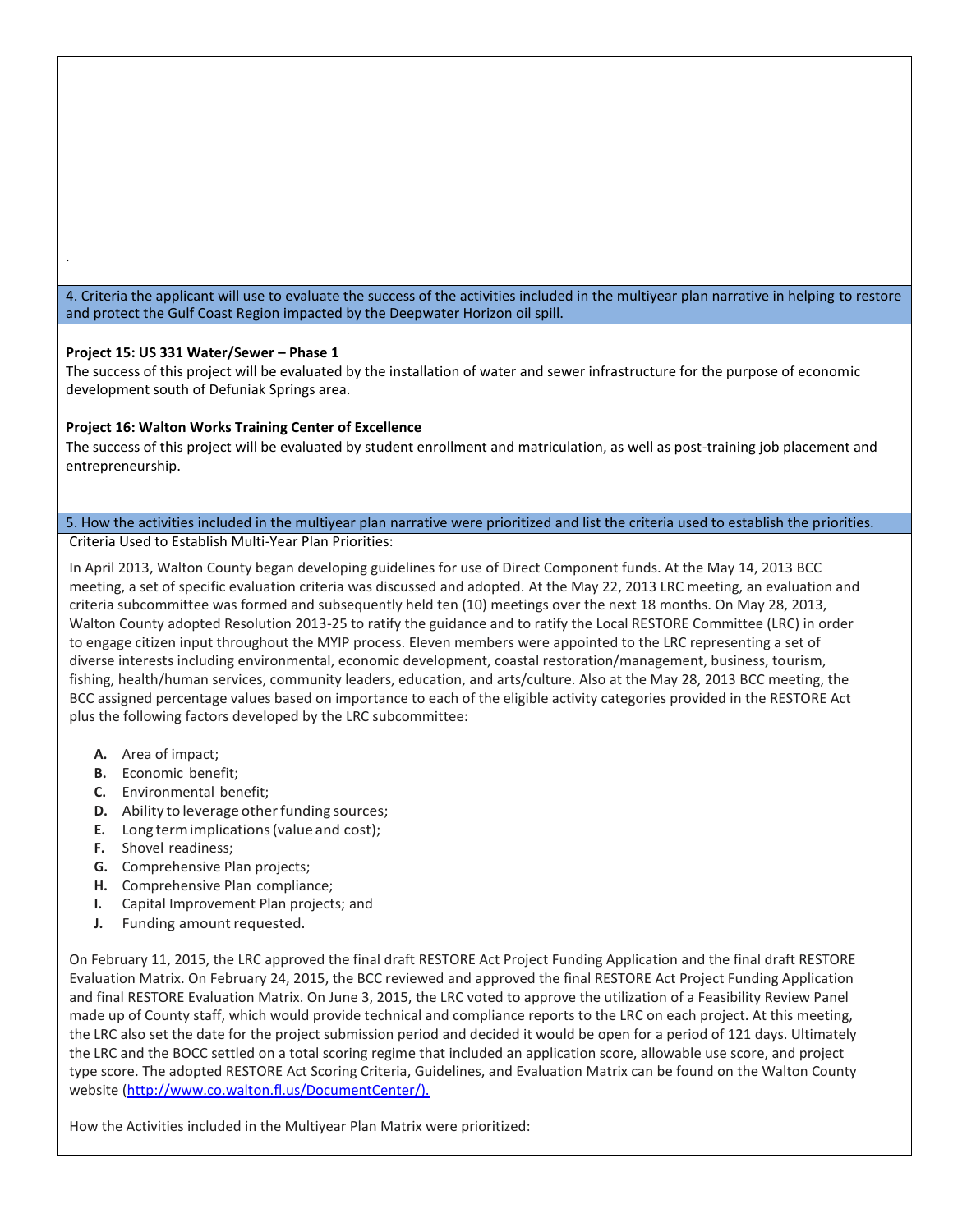4. Criteria the applicant will use to evaluate the success of the activities included in the multiyear plan narrative in helping to restore and protect the Gulf Coast Region impacted by the Deepwater Horizon oil spill.

#### **Project 15: US 331 Water/Sewer – Phase 1**

.

The success of this project will be evaluated by the installation of water and sewer infrastructure for the purpose of economic development south of Defuniak Springs area.

#### **Project 16: Walton Works Training Center of Excellence**

The success of this project will be evaluated by student enrollment and matriculation, as well as post-training job placement and entrepreneurship.

#### 5. How the activities included in the multiyear plan narrative were prioritized and list the criteria used to establish the priorities. Criteria Used to Establish Multi-Year Plan Priorities:

In April 2013, Walton County began developing guidelines for use of Direct Component funds. At the May 14, 2013 BCC meeting, a set of specific evaluation criteria was discussed and adopted. At the May 22, 2013 LRC meeting, an evaluation and criteria subcommittee was formed and subsequently held ten (10) meetings over the next 18 months. On May 28, 2013, Walton County adopted Resolution 2013-25 to ratify the guidance and to ratify the Local RESTORE Committee (LRC) in order to engage citizen input throughout the MYIP process. Eleven members were appointed to the LRC representing a set of diverse interests including environmental, economic development, coastal restoration/management, business, tourism, fishing, health/human services, community leaders, education, and arts/culture. Also at the May 28, 2013 BCC meeting, the BCC assigned percentage values based on importance to each of the eligible activity categories provided in the RESTORE Act plus the following factors developed by the LRC subcommittee:

- **A.** Area of impact;
- **B.** Economic benefit;
- **C.** Environmental benefit;
- **D.** Ability to leverage other funding sources;
- **E.** Long term implications (value and cost);
- **F.** Shovel readiness;
- **G.** Comprehensive Plan projects;
- **H.** Comprehensive Plan compliance;
- **I.** Capital Improvement Plan projects; and
- **J.** Funding amount requested.

On February 11, 2015, the LRC approved the final draft RESTORE Act Project Funding Application and the final draft RESTORE Evaluation Matrix. On February 24, 2015, the BCC reviewed and approved the final RESTORE Act Project Funding Application and final RESTORE Evaluation Matrix. On June 3, 2015, the LRC voted to approve the utilization of a Feasibility Review Panel made up of County staff, which would provide technical and compliance reports to the LRC on each project. At this meeting, the LRC also set the date for the project submission period and decided it would be open for a period of 121 days. Ultimately the LRC and the BOCC settled on a total scoring regime that included an application score, allowable use score, and project type score. The adopted RESTORE Act Scoring Criteria, Guidelines, and Evaluation Matrix can be found on the Walton County website (http://www.co.walton.fl.us/DocumentCenter/).

How the Activities included in the Multiyear Plan Matrix were prioritized: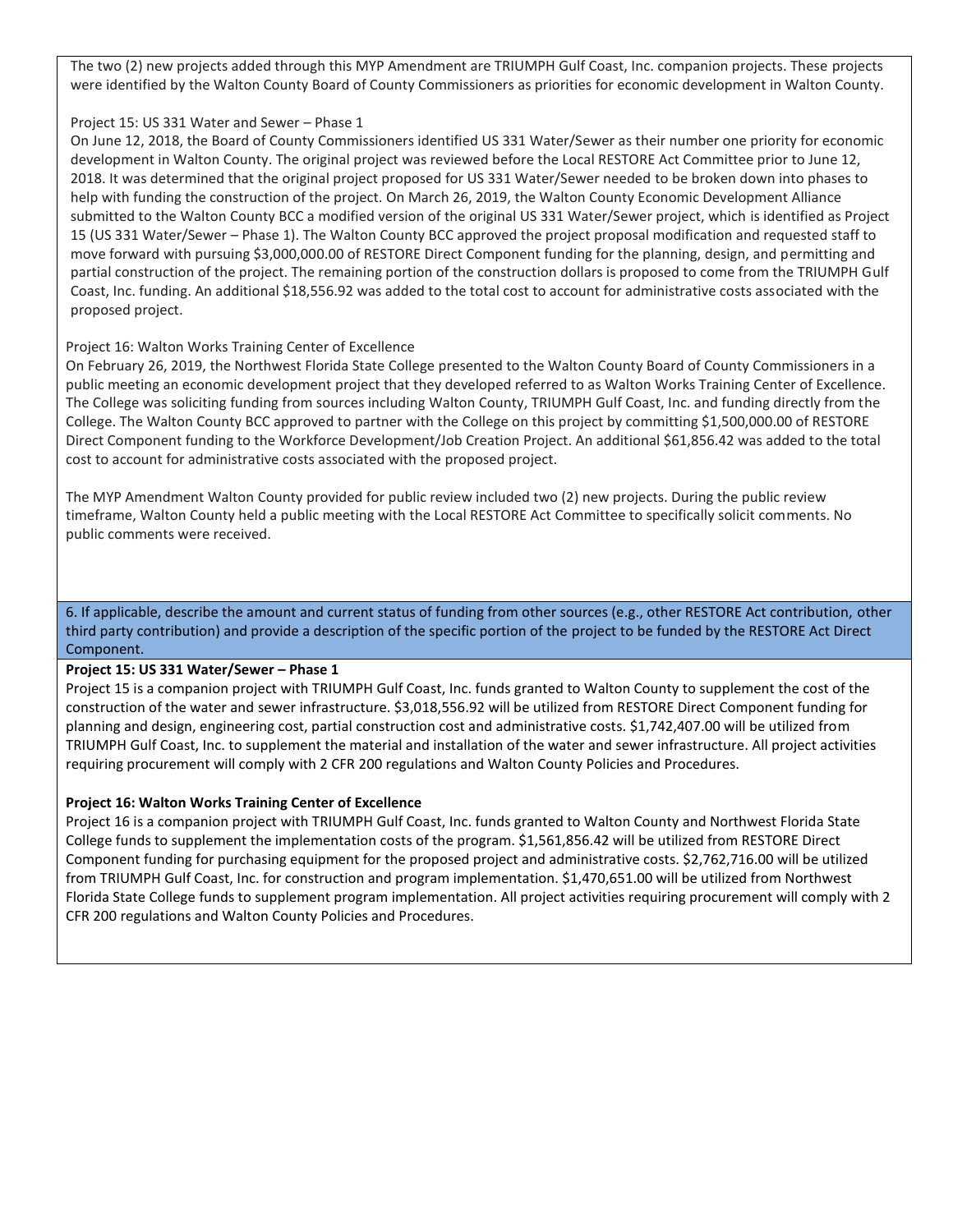The two (2) new projects added through this MYP Amendment are TRIUMPH Gulf Coast, Inc. companion projects. These projects were identified by the Walton County Board of County Commissioners as priorities for economic development in Walton County.

#### Project 15: US 331 Water and Sewer – Phase 1

 partial construction of the project. The remaining portion of the construction dollars is proposed to come from the TRIUMPH Gulf Coast, Inc. funding. An additional \$18,556.92 was added to the total cost to account for administrative costs associated with the On June 12, 2018, the Board of County Commissioners identified US 331 Water/Sewer as their number one priority for economic development in Walton County. The original project was reviewed before the Local RESTORE Act Committee prior to June 12, 2018. It was determined that the original project proposed for US 331 Water/Sewer needed to be broken down into phases to help with funding the construction of the project. On March 26, 2019, the Walton County Economic Development Alliance submitted to the Walton County BCC a modified version of the original US 331 Water/Sewer project, which is identified as Project 15 (US 331 Water/Sewer – Phase 1). The Walton County BCC approved the project proposal modification and requested staff to move forward with pursuing \$3,000,000.00 of RESTORE Direct Component funding for the planning, design, and permitting and proposed project.

#### Project 16: Walton Works Training Center of Excellence

On February 26, 2019, the Northwest Florida State College presented to the Walton County Board of County Commissioners in a public meeting an economic development project that they developed referred to as Walton Works Training Center of Excellence. The College was soliciting funding from sources including Walton County, TRIUMPH Gulf Coast, Inc. and funding directly from the College. The Walton County BCC approved to partner with the College on this project by committing \$1,500,000.00 of RESTORE Direct Component funding to the Workforce Development/Job Creation Project. An additional \$61,856.42 was added to the total cost to account for administrative costs associated with the proposed project.

The MYP Amendment Walton County provided for public review included two (2) new projects. During the public review timeframe, Walton County held a public meeting with the Local RESTORE Act Committee to specifically solicit comments. No public comments were received.

6. If applicable, describe the amount and current status of funding from other sources (e.g., other RESTORE Act contribution, other third party contribution) and provide a description of the specific portion of the project to be funded by the RESTORE Act Direct Component.

#### **Project 15: US 331 Water/Sewer – Phase 1**

Project 15 is a companion project with TRIUMPH Gulf Coast, Inc. funds granted to Walton County to supplement the cost of the construction of the water and sewer infrastructure. \$3,018,556.92 will be utilized from RESTORE Direct Component funding for planning and design, engineering cost, partial construction cost and administrative costs. \$1,742,407.00 will be utilized from TRIUMPH Gulf Coast, Inc. to supplement the material and installation of the water and sewer infrastructure. All project activities requiring procurement will comply with 2 CFR 200 regulations and Walton County Policies and Procedures.

#### **Project 16: Walton Works Training Center of Excellence**

Project 16 is a companion project with TRIUMPH Gulf Coast, Inc. funds granted to Walton County and Northwest Florida State College funds to supplement the implementation costs of the program. \$1,561,856.42 will be utilized from RESTORE Direct Component funding for purchasing equipment for the proposed project and administrative costs. \$2,762,716.00 will be utilized from TRIUMPH Gulf Coast, Inc. for construction and program implementation. \$1,470,651.00 will be utilized from Northwest Florida State College funds to supplement program implementation. All project activities requiring procurement will comply with 2 CFR 200 regulations and Walton County Policies and Procedures.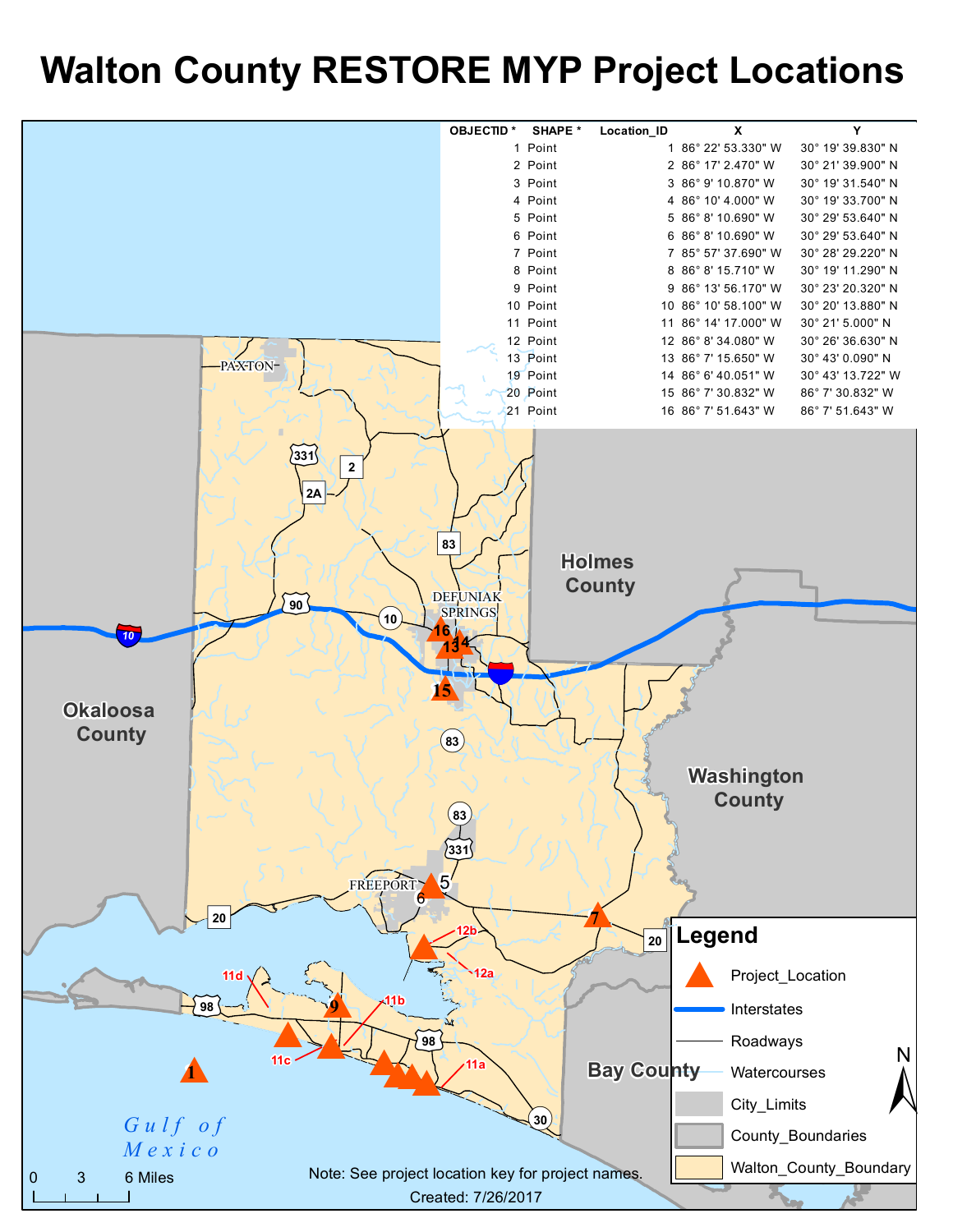# **Walton County RESTORE MYP Project Locations**